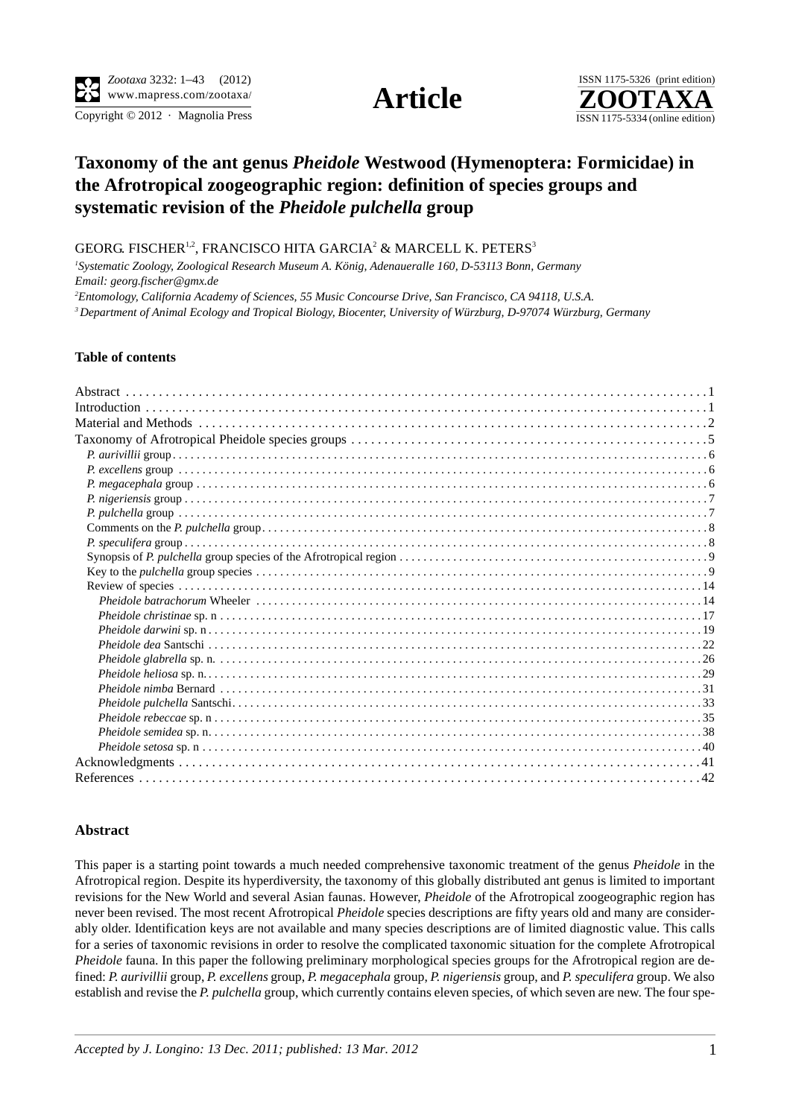

Copyright  $\odot$  2012 · Magnolia Press ISSN 1175-5334 (online edition)



## **Taxonomy of the ant genus** *Pheidole* **Westwood (Hymenoptera: Formicidae) in the Afrotropical zoogeographic region: definition of species groups and systematic revision of the** *Pheidole pulchella* **group**

GEORG. FISCHER $^{1,2}$ , FRANCISCO HITA GARCIA $^2$  & MARCELL K. PETERS $^3$ 

*1 Systematic Zoology, Zoological Research Museum A. König, Adenaueralle 160, D-53113 Bonn, Germany Email: georg.fischer@gmx.de*

*2 Entomology, California Academy of Sciences, 55 Music Concourse Drive, San Francisco, CA 94118, U.S.A.*

*3 Department of Animal Ecology and Tropical Biology, Biocenter, University of Würzburg, D-97074 Würzburg, Germany*

## **Table of contents**

## **Abstract**

This paper is a starting point towards a much needed comprehensive taxonomic treatment of the genus *Pheidole* in the Afrotropical region. Despite its hyperdiversity, the taxonomy of this globally distributed ant genus is limited to important revisions for the New World and several Asian faunas. However, *Pheidole* of the Afrotropical zoogeographic region has never been revised. The most recent Afrotropical *Pheidole* species descriptions are fifty years old and many are considerably older. Identification keys are not available and many species descriptions are of limited diagnostic value. This calls for a series of taxonomic revisions in order to resolve the complicated taxonomic situation for the complete Afrotropical *Pheidole* fauna. In this paper the following preliminary morphological species groups for the Afrotropical region are defined: *P. aurivillii* group, *P. excellens* group, *P. megacephala* group, *P. nigeriensis* group, and *P. speculifera* group. We also establish and revise the *P. pulchella* group, which currently contains eleven species, of which seven are new. The four spe